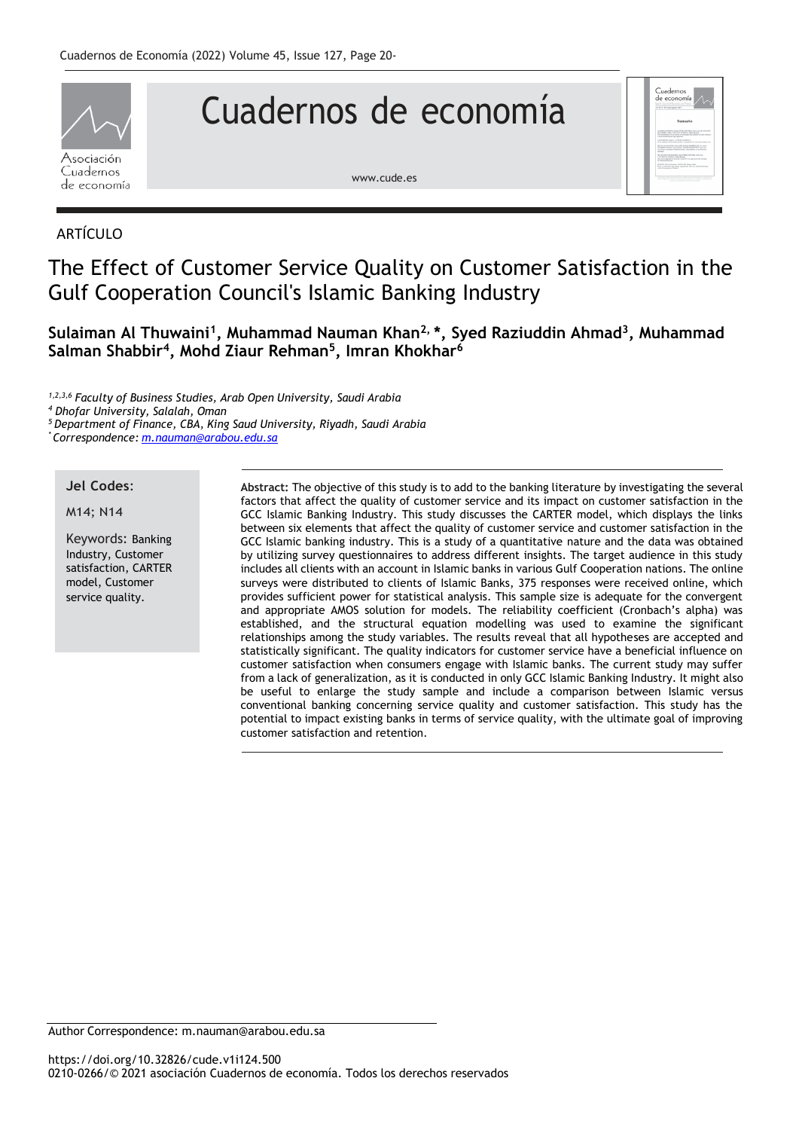

# Cuadernos de economía

[www.cude.es](http://www.cude.es/)

# ARTÍCULO

# The Effect of Customer Service Quality on Customer Satisfaction in the Gulf Cooperation Council's Islamic Banking Industry

# **Sulaiman Al Thuwaini<sup>1</sup> , Muhammad Nauman Khan2, \*, Syed Raziuddin Ahmad<sup>3</sup> , Muhammad Salman Shabbir<sup>4</sup> , Mohd Ziaur Rehman<sup>5</sup> , Imran Khokhar<sup>6</sup>**

*1,2,3,6 Faculty of Business Studies, Arab Open University, Saudi Arabia*

*<sup>4</sup> Dhofar University, Salalah, Oman*

*<sup>5</sup> Department of Finance, CBA, King Saud University, Riyadh, Saudi Arabia*

*\* Correspondence: [m.nauman@arabou.edu.sa](mailto:m.nauman@arabou.edu.sa)*

#### **Jel Codes**:

#### M14; N14

Keywords: Banking Industry, Customer satisfaction, CARTER model, Customer service quality.

**Abstract:** The objective of this study is to add to the banking literature by investigating the several factors that affect the quality of customer service and its impact on customer satisfaction in the GCC Islamic Banking Industry. This study discusses the CARTER model, which displays the links between six elements that affect the quality of customer service and customer satisfaction in the GCC Islamic banking industry. This is a study of a quantitative nature and the data was obtained by utilizing survey questionnaires to address different insights. The target audience in this study includes all clients with an account in Islamic banks in various Gulf Cooperation nations. The online surveys were distributed to clients of Islamic Banks, 375 responses were received online, which provides sufficient power for statistical analysis. This sample size is adequate for the convergent and appropriate AMOS solution for models. The reliability coefficient (Cronbach's alpha) was established, and the structural equation modelling was used to examine the significant relationships among the study variables. The results reveal that all hypotheses are accepted and statistically significant. The quality indicators for customer service have a beneficial influence on customer satisfaction when consumers engage with Islamic banks. The current study may suffer from a lack of generalization, as it is conducted in only GCC Islamic Banking Industry. It might also be useful to enlarge the study sample and include a comparison between Islamic versus conventional banking concerning service quality and customer satisfaction. This study has the potential to impact existing banks in terms of service quality, with the ultimate goal of improving customer satisfaction and retention.

uadernos<br>· economí

Author Correspondence: [m.nauman@arabou.edu.sa](mailto:m.nauman@arabou.edu.sa)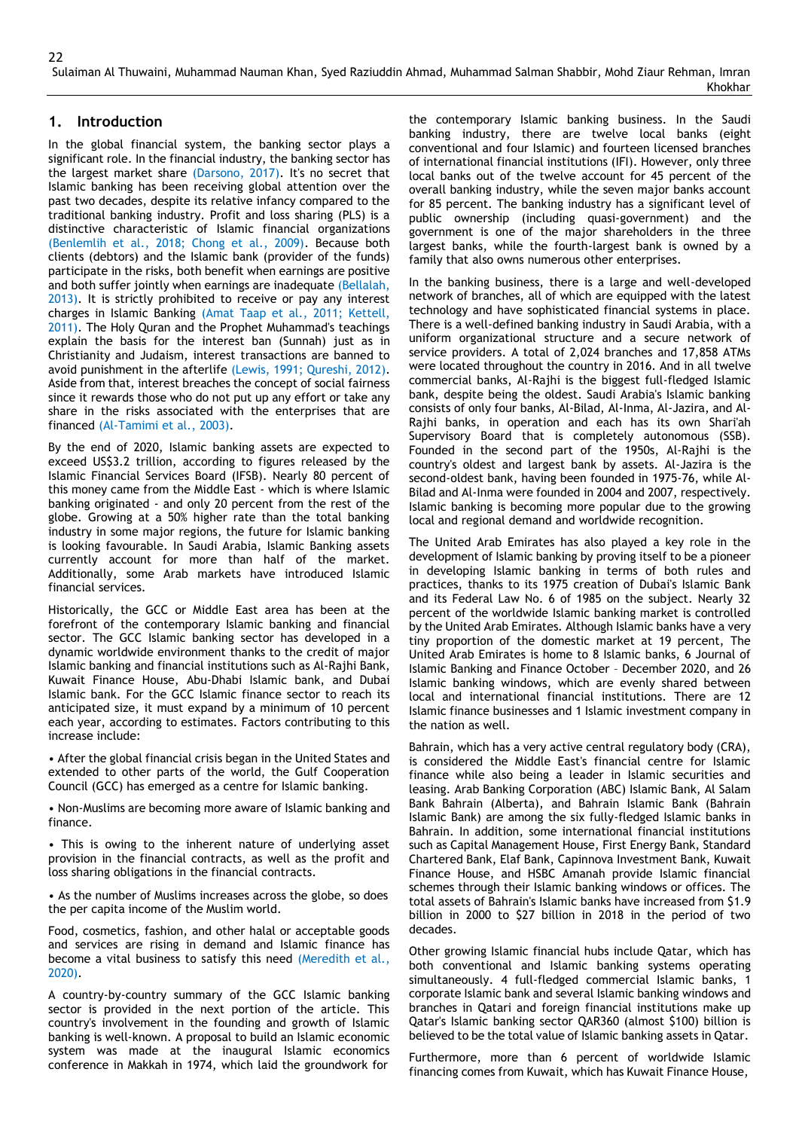## **1. Introduction**

In the global financial system, the banking sector plays a significant role. In the financial industry, the banking sector has the largest market share (Darsono, 2017). It's no secret that Islamic banking has been receiving global attention over the past two decades, despite its relative infancy compared to the traditional banking industry. Profit and loss sharing (PLS) is a distinctive characteristic of Islamic financial organizations (Benlemlih et al., 2018; Chong et al., 2009). Because both clients (debtors) and the Islamic bank (provider of the funds) participate in the risks, both benefit when earnings are positive and both suffer jointly when earnings are inadequate (Bellalah, 2013). It is strictly prohibited to receive or pay any interest charges in Islamic Banking (Amat Taap et al., 2011; Kettell, 2011). The Holy Quran and the Prophet Muhammad's teachings explain the basis for the interest ban (Sunnah) just as in Christianity and Judaism, interest transactions are banned to avoid punishment in the afterlife (Lewis, 1991; Qureshi, 2012). Aside from that, interest breaches the concept of social fairness since it rewards those who do not put up any effort or take any share in the risks associated with the enterprises that are financed (Al-Tamimi et al., 2003).

By the end of 2020, Islamic banking assets are expected to exceed US\$3.2 trillion, according to figures released by the Islamic Financial Services Board (IFSB). Nearly 80 percent of this money came from the Middle East - which is where Islamic banking originated - and only 20 percent from the rest of the globe. Growing at a 50% higher rate than the total banking industry in some major regions, the future for Islamic banking is looking favourable. In Saudi Arabia, Islamic Banking assets currently account for more than half of the market. Additionally, some Arab markets have introduced Islamic financial services.

Historically, the GCC or Middle East area has been at the forefront of the contemporary Islamic banking and financial sector. The GCC Islamic banking sector has developed in a dynamic worldwide environment thanks to the credit of major Islamic banking and financial institutions such as Al-Rajhi Bank, Kuwait Finance House, Abu-Dhabi Islamic bank, and Dubai Islamic bank. For the GCC Islamic finance sector to reach its anticipated size, it must expand by a minimum of 10 percent each year, according to estimates. Factors contributing to this increase include:

• After the global financial crisis began in the United States and extended to other parts of the world, the Gulf Cooperation Council (GCC) has emerged as a centre for Islamic banking.

• Non-Muslims are becoming more aware of Islamic banking and finance.

• This is owing to the inherent nature of underlying asset provision in the financial contracts, as well as the profit and loss sharing obligations in the financial contracts.

• As the number of Muslims increases across the globe, so does the per capita income of the Muslim world.

Food, cosmetics, fashion, and other halal or acceptable goods and services are rising in demand and Islamic finance has become a vital business to satisfy this need (Meredith et al., 2020).

A country-by-country summary of the GCC Islamic banking sector is provided in the next portion of the article. This country's involvement in the founding and growth of Islamic banking is well-known. A proposal to build an Islamic economic system was made at the inaugural Islamic economics conference in Makkah in 1974, which laid the groundwork for

the contemporary Islamic banking business. In the Saudi banking industry, there are twelve local banks (eight conventional and four Islamic) and fourteen licensed branches of international financial institutions (IFI). However, only three local banks out of the twelve account for 45 percent of the overall banking industry, while the seven major banks account for 85 percent. The banking industry has a significant level of public ownership (including quasi-government) and the government is one of the major shareholders in the three largest banks, while the fourth-largest bank is owned by a family that also owns numerous other enterprises.

In the banking business, there is a large and well-developed network of branches, all of which are equipped with the latest technology and have sophisticated financial systems in place. There is a well-defined banking industry in Saudi Arabia, with a uniform organizational structure and a secure network of service providers. A total of 2,024 branches and 17,858 ATMs were located throughout the country in 2016. And in all twelve commercial banks, Al-Rajhi is the biggest full-fledged Islamic bank, despite being the oldest. Saudi Arabia's Islamic banking consists of only four banks, Al-Bilad, Al-Inma, Al-Jazira, and Al-Rajhi banks, in operation and each has its own Shari'ah Supervisory Board that is completely autonomous (SSB). Founded in the second part of the 1950s, Al-Rajhi is the country's oldest and largest bank by assets. Al-Jazira is the second-oldest bank, having been founded in 1975-76, while Al-Bilad and Al-Inma were founded in 2004 and 2007, respectively. Islamic banking is becoming more popular due to the growing local and regional demand and worldwide recognition.

The United Arab Emirates has also played a key role in the development of Islamic banking by proving itself to be a pioneer in developing Islamic banking in terms of both rules and practices, thanks to its 1975 creation of Dubai's Islamic Bank and its Federal Law No. 6 of 1985 on the subject. Nearly 32 percent of the worldwide Islamic banking market is controlled by the United Arab Emirates. Although Islamic banks have a very tiny proportion of the domestic market at 19 percent, The United Arab Emirates is home to 8 Islamic banks, 6 Journal of Islamic Banking and Finance October – December 2020, and 26 Islamic banking windows, which are evenly shared between local and international financial institutions. There are 12 Islamic finance businesses and 1 Islamic investment company in the nation as well.

Bahrain, which has a very active central regulatory body (CRA), is considered the Middle East's financial centre for Islamic finance while also being a leader in Islamic securities and leasing. Arab Banking Corporation (ABC) Islamic Bank, Al Salam Bank Bahrain (Alberta), and Bahrain Islamic Bank (Bahrain Islamic Bank) are among the six fully-fledged Islamic banks in Bahrain. In addition, some international financial institutions such as Capital Management House, First Energy Bank, Standard Chartered Bank, Elaf Bank, Capinnova Investment Bank, Kuwait Finance House, and HSBC Amanah provide Islamic financial schemes through their Islamic banking windows or offices. The total assets of Bahrain's Islamic banks have increased from \$1.9 billion in 2000 to \$27 billion in 2018 in the period of two decades.

Other growing Islamic financial hubs include Qatar, which has both conventional and Islamic banking systems operating simultaneously. 4 full-fledged commercial Islamic banks, 1 corporate Islamic bank and several Islamic banking windows and branches in Qatari and foreign financial institutions make up Qatar's Islamic banking sector QAR360 (almost \$100) billion is believed to be the total value of Islamic banking assets in Qatar.

Furthermore, more than 6 percent of worldwide Islamic financing comes from Kuwait, which has Kuwait Finance House,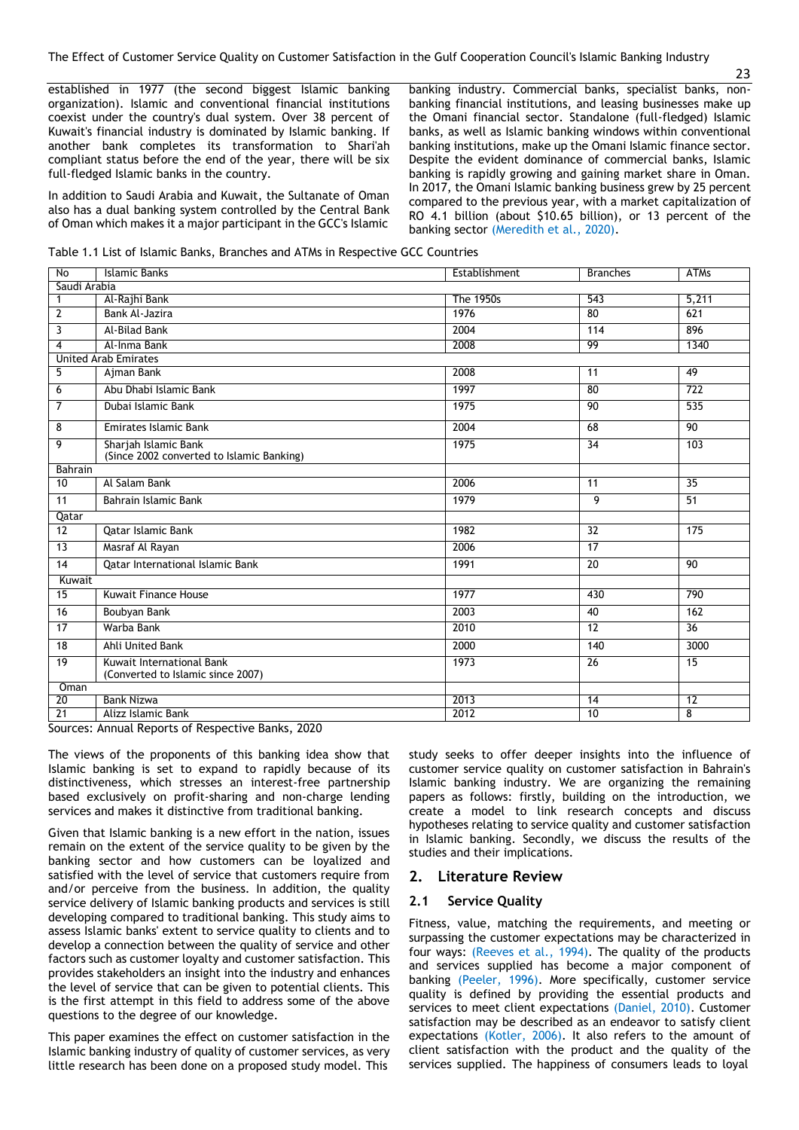established in 1977 (the second biggest Islamic banking organization). Islamic and conventional financial institutions coexist under the country's dual system. Over 38 percent of Kuwait's financial industry is dominated by Islamic banking. If another bank completes its transformation to Shari'ah compliant status before the end of the year, there will be six full-fledged Islamic banks in the country.

In addition to Saudi Arabia and Kuwait, the Sultanate of Oman also has a dual banking system controlled by the Central Bank of Oman which makes it a major participant in the GCC's Islamic

banking industry. Commercial banks, specialist banks, nonbanking financial institutions, and leasing businesses make up the Omani financial sector. Standalone (full-fledged) Islamic banks, as well as Islamic banking windows within conventional banking institutions, make up the Omani Islamic finance sector. Despite the evident dominance of commercial banks, Islamic banking is rapidly growing and gaining market share in Oman. In 2017, the Omani Islamic banking business grew by 25 percent compared to the previous year, with a market capitalization of RO 4.1 billion (about \$10.65 billion), or 13 percent of the banking sector (Meredith et al., 2020).

Table 1.1 List of Islamic Banks, Branches and ATMs in Respective GCC Countries

| No              | Islamic Banks                                                     | Establishment    | <b>Branches</b> | <b>ATMs</b>      |
|-----------------|-------------------------------------------------------------------|------------------|-----------------|------------------|
| Saudi Arabia    |                                                                   |                  |                 |                  |
| $\mathbf 1$     | Al-Rajhi Bank                                                     | <b>The 1950s</b> | 543             | 5,211            |
| $\overline{2}$  | Bank Al-Jazira                                                    | 1976             | $\overline{80}$ | 621              |
| 3               | Al-Bilad Bank                                                     | 2004             | 114             | 896              |
| 4               | Al-Inma Bank                                                      | 2008             | 99              | 1340             |
|                 | <b>United Arab Emirates</b>                                       |                  |                 |                  |
| 5               | Ajman Bank                                                        | 2008             | 11              | 49               |
| 6               | Abu Dhabi Islamic Bank                                            | 1997             | $\overline{80}$ | $\overline{722}$ |
| $\overline{7}$  | Dubai Islamic Bank                                                | 1975             | 90              | 535              |
| 8               | Emirates Islamic Bank                                             | 2004             | 68              | $\overline{90}$  |
| 9               | Sharjah Islamic Bank<br>(Since 2002 converted to Islamic Banking) | 1975             | 34              | 103              |
| Bahrain         |                                                                   |                  |                 |                  |
| 10              | Al Salam Bank                                                     | 2006             | $\overline{11}$ | $\overline{35}$  |
| 11              | Bahrain Islamic Bank                                              | 1979             | 9               | 51               |
| Qatar           |                                                                   |                  |                 |                  |
| $\overline{12}$ | Qatar Islamic Bank                                                | 1982             | 32              | 175              |
| $\overline{13}$ | Masraf Al Rayan                                                   | 2006             | 17              |                  |
| 14              | Qatar International Islamic Bank                                  | 1991             | 20              | 90               |
| Kuwait          |                                                                   |                  |                 |                  |
| 15              | <b>Kuwait Finance House</b>                                       | 1977             | 430             | 790              |
| 16              | Boubyan Bank                                                      | 2003             | 40              | 162              |
| 17              | Warba Bank                                                        | 2010             | 12              | $\overline{36}$  |
| $\overline{18}$ | Ahli United Bank                                                  | 2000             | 140             | 3000             |
| 19              | Kuwait International Bank<br>(Converted to Islamic since 2007)    | 1973             | 26              | 15               |
| Oman            |                                                                   |                  |                 |                  |
| 20              | <b>Bank Nizwa</b>                                                 | 2013             | $\overline{14}$ | $\overline{12}$  |
| $\overline{21}$ | Alizz Islamic Bank                                                | 2012             | 10              | $\overline{8}$   |

Sources: Annual Reports of Respective Banks, 2020

The views of the proponents of this banking idea show that Islamic banking is set to expand to rapidly because of its distinctiveness, which stresses an interest-free partnership based exclusively on profit-sharing and non-charge lending services and makes it distinctive from traditional banking.

Given that Islamic banking is a new effort in the nation, issues remain on the extent of the service quality to be given by the banking sector and how customers can be loyalized and satisfied with the level of service that customers require from and/or perceive from the business. In addition, the quality service delivery of Islamic banking products and services is still developing compared to traditional banking. This study aims to assess Islamic banks' extent to service quality to clients and to develop a connection between the quality of service and other factors such as customer loyalty and customer satisfaction. This provides stakeholders an insight into the industry and enhances the level of service that can be given to potential clients. This is the first attempt in this field to address some of the above questions to the degree of our knowledge.

This paper examines the effect on customer satisfaction in the Islamic banking industry of quality of customer services, as very little research has been done on a proposed study model. This

study seeks to offer deeper insights into the influence of customer service quality on customer satisfaction in Bahrain's Islamic banking industry. We are organizing the remaining papers as follows: firstly, building on the introduction, we create a model to link research concepts and discuss hypotheses relating to service quality and customer satisfaction in Islamic banking. Secondly, we discuss the results of the studies and their implications.

#### **2. Literature Review**

#### **2.1 Service Quality**

Fitness, value, matching the requirements, and meeting or surpassing the customer expectations may be characterized in four ways: (Reeves et al., 1994). The quality of the products and services supplied has become a major component of banking (Peeler, 1996). More specifically, customer service quality is defined by providing the essential products and services to meet client expectations (Daniel, 2010). Customer satisfaction may be described as an endeavor to satisfy client expectations (Kotler, 2006). It also refers to the amount of client satisfaction with the product and the quality of the services supplied. The happiness of consumers leads to loyal

23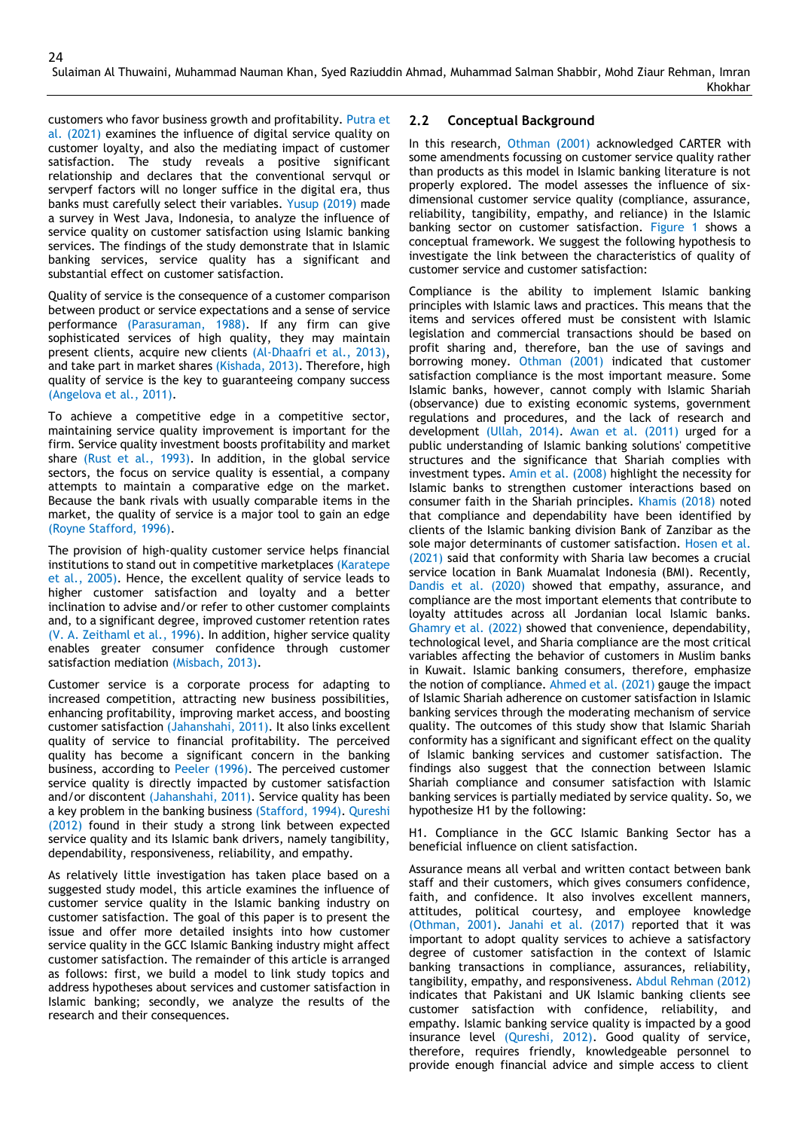customers who favor business growth and profitability. Putra et al. (2021) examines the influence of digital service quality on customer loyalty, and also the mediating impact of customer satisfaction. The study reveals a positive significant relationship and declares that the conventional servqul or servperf factors will no longer suffice in the digital era, thus banks must carefully select their variables. Yusup (2019) made a survey in West Java, Indonesia, to analyze the influence of service quality on customer satisfaction using Islamic banking services. The findings of the study demonstrate that in Islamic banking services, service quality has a significant and substantial effect on customer satisfaction.

Quality of service is the consequence of a customer comparison between product or service expectations and a sense of service performance (Parasuraman, 1988). If any firm can give sophisticated services of high quality, they may maintain present clients, acquire new clients (Al-Dhaafri et al., 2013), and take part in market shares (Kishada, 2013). Therefore, high quality of service is the key to guaranteeing company success (Angelova et al., 2011).

To achieve a competitive edge in a competitive sector, maintaining service quality improvement is important for the firm. Service quality investment boosts profitability and market share (Rust et al., 1993). In addition, in the global service sectors, the focus on service quality is essential, a company attempts to maintain a comparative edge on the market. Because the bank rivals with usually comparable items in the market, the quality of service is a major tool to gain an edge (Royne Stafford, 1996).

The provision of high-quality customer service helps financial institutions to stand out in competitive marketplaces (Karatepe et al., 2005). Hence, the excellent quality of service leads to higher customer satisfaction and loyalty and a better inclination to advise and/or refer to other customer complaints and, to a significant degree, improved customer retention rates (V. A. Zeithaml et al., 1996). In addition, higher service quality enables greater consumer confidence through customer satisfaction mediation (Misbach, 2013).

Customer service is a corporate process for adapting to increased competition, attracting new business possibilities, enhancing profitability, improving market access, and boosting customer satisfaction (Jahanshahi, 2011). It also links excellent quality of service to financial profitability. The perceived quality has become a significant concern in the banking business, according to Peeler (1996). The perceived customer service quality is directly impacted by customer satisfaction and/or discontent (Jahanshahi, 2011). Service quality has been a key problem in the banking business (Stafford, 1994). Qureshi (2012) found in their study a strong link between expected service quality and its Islamic bank drivers, namely tangibility, dependability, responsiveness, reliability, and empathy.

As relatively little investigation has taken place based on a suggested study model, this article examines the influence of customer service quality in the Islamic banking industry on customer satisfaction. The goal of this paper is to present the issue and offer more detailed insights into how customer service quality in the GCC Islamic Banking industry might affect customer satisfaction. The remainder of this article is arranged as follows: first, we build a model to link study topics and address hypotheses about services and customer satisfaction in Islamic banking; secondly, we analyze the results of the research and their consequences.

#### **2.2 Conceptual Background**

In this research, Othman (2001) acknowledged CARTER with some amendments focussing on customer service quality rather than products as this model in Islamic banking literature is not properly explored. The model assesses the influence of sixdimensional customer service quality (compliance, assurance, reliability, tangibility, empathy, and reliance) in the Islamic banking sector on customer satisfaction. Figure 1 shows a conceptual framework. We suggest the following hypothesis to investigate the link between the characteristics of quality of customer service and customer satisfaction:

Compliance is the ability to implement Islamic banking principles with Islamic laws and practices. This means that the items and services offered must be consistent with Islamic legislation and commercial transactions should be based on profit sharing and, therefore, ban the use of savings and borrowing money. Othman (2001) indicated that customer satisfaction compliance is the most important measure. Some Islamic banks, however, cannot comply with Islamic Shariah (observance) due to existing economic systems, government regulations and procedures, and the lack of research and development (Ullah, 2014). Awan et al. (2011) urged for a public understanding of Islamic banking solutions' competitive structures and the significance that Shariah complies with investment types. Amin et al. (2008) highlight the necessity for Islamic banks to strengthen customer interactions based on consumer faith in the Shariah principles. Khamis (2018) noted that compliance and dependability have been identified by clients of the Islamic banking division Bank of Zanzibar as the sole major determinants of customer satisfaction. Hosen et al. (2021) said that conformity with Sharia law becomes a crucial service location in Bank Muamalat Indonesia (BMI). Recently, Dandis et al. (2020) showed that empathy, assurance, and compliance are the most important elements that contribute to loyalty attitudes across all Jordanian local Islamic banks. Ghamry et al. (2022) showed that convenience, dependability, technological level, and Sharia compliance are the most critical variables affecting the behavior of customers in Muslim banks in Kuwait. Islamic banking consumers, therefore, emphasize the notion of compliance. Ahmed et al. (2021) gauge the impact of Islamic Shariah adherence on customer satisfaction in Islamic banking services through the moderating mechanism of service quality. The outcomes of this study show that Islamic Shariah conformity has a significant and significant effect on the quality of Islamic banking services and customer satisfaction. The findings also suggest that the connection between Islamic Shariah compliance and consumer satisfaction with Islamic banking services is partially mediated by service quality. So, we hypothesize H1 by the following:

H1. Compliance in the GCC Islamic Banking Sector has a beneficial influence on client satisfaction.

Assurance means all verbal and written contact between bank staff and their customers, which gives consumers confidence, faith, and confidence. It also involves excellent manners, attitudes, political courtesy, and employee knowledge (Othman, 2001). Janahi et al. (2017) reported that it was important to adopt quality services to achieve a satisfactory degree of customer satisfaction in the context of Islamic banking transactions in compliance, assurances, reliability, tangibility, empathy, and responsiveness. Abdul Rehman (2012) indicates that Pakistani and UK Islamic banking clients see customer satisfaction with confidence, reliability, and empathy. Islamic banking service quality is impacted by a good insurance level (Qureshi, 2012). Good quality of service, therefore, requires friendly, knowledgeable personnel to provide enough financial advice and simple access to client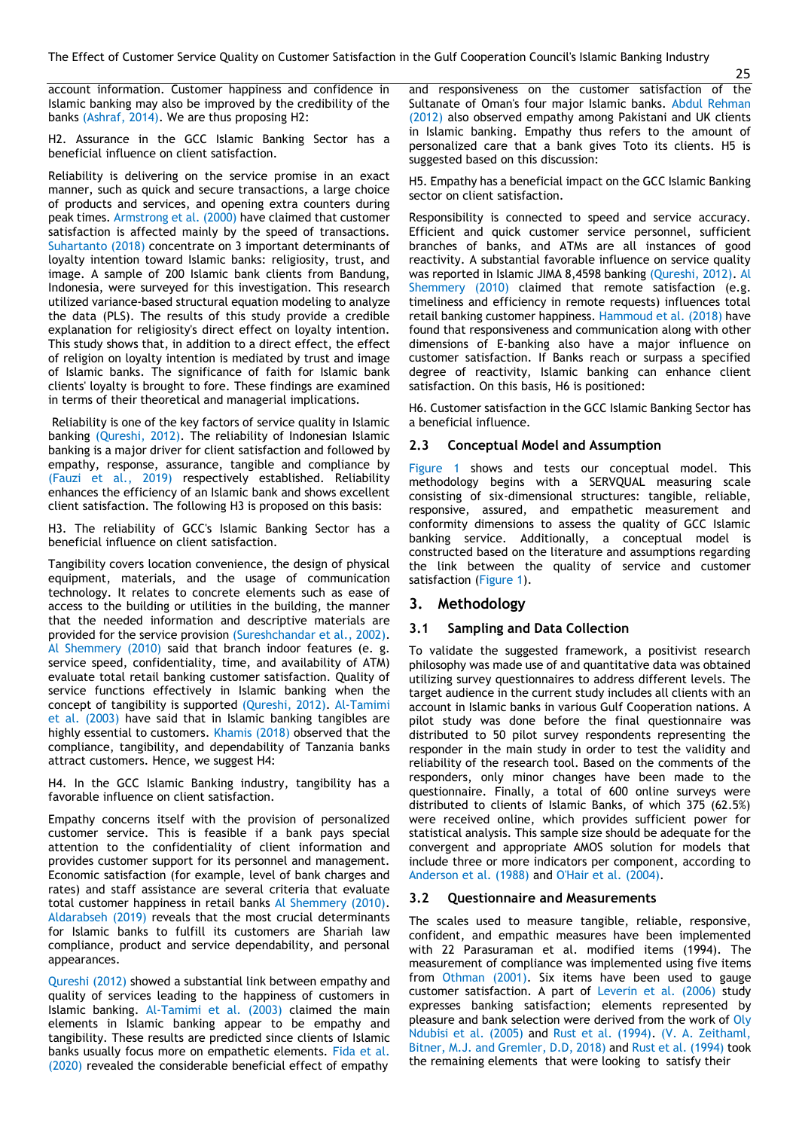account information. Customer happiness and confidence in Islamic banking may also be improved by the credibility of the banks (Ashraf, 2014). We are thus proposing H2:

H2. Assurance in the GCC Islamic Banking Sector has a beneficial influence on client satisfaction.

Reliability is delivering on the service promise in an exact manner, such as quick and secure transactions, a large choice of products and services, and opening extra counters during peak times. Armstrong et al. (2000) have claimed that customer satisfaction is affected mainly by the speed of transactions. Suhartanto (2018) concentrate on 3 important determinants of loyalty intention toward Islamic banks: religiosity, trust, and image. A sample of 200 Islamic bank clients from Bandung, Indonesia, were surveyed for this investigation. This research utilized variance-based structural equation modeling to analyze the data (PLS). The results of this study provide a credible explanation for religiosity's direct effect on loyalty intention. This study shows that, in addition to a direct effect, the effect of religion on loyalty intention is mediated by trust and image of Islamic banks. The significance of faith for Islamic bank clients' loyalty is brought to fore. These findings are examined in terms of their theoretical and managerial implications.

Reliability is one of the key factors of service quality in Islamic banking (Qureshi, 2012). The reliability of Indonesian Islamic banking is a major driver for client satisfaction and followed by empathy, response, assurance, tangible and compliance by (Fauzi et al., 2019) respectively established. Reliability enhances the efficiency of an Islamic bank and shows excellent client satisfaction. The following H3 is proposed on this basis:

H3. The reliability of GCC's Islamic Banking Sector has a beneficial influence on client satisfaction.

Tangibility covers location convenience, the design of physical equipment, materials, and the usage of communication technology. It relates to concrete elements such as ease of access to the building or utilities in the building, the manner that the needed information and descriptive materials are provided for the service provision (Sureshchandar et al., 2002). Al Shemmery (2010) said that branch indoor features (e. g. service speed, confidentiality, time, and availability of ATM) evaluate total retail banking customer satisfaction. Quality of service functions effectively in Islamic banking when the concept of tangibility is supported (Qureshi, 2012). Al-Tamimi et al. (2003) have said that in Islamic banking tangibles are highly essential to customers. Khamis (2018) observed that the compliance, tangibility, and dependability of Tanzania banks attract customers. Hence, we suggest H4:

H4. In the GCC Islamic Banking industry, tangibility has a favorable influence on client satisfaction.

Empathy concerns itself with the provision of personalized customer service. This is feasible if a bank pays special attention to the confidentiality of client information and provides customer support for its personnel and management. Economic satisfaction (for example, level of bank charges and rates) and staff assistance are several criteria that evaluate total customer happiness in retail banks Al Shemmery (2010). Aldarabseh (2019) reveals that the most crucial determinants for Islamic banks to fulfill its customers are Shariah law compliance, product and service dependability, and personal appearances.

Qureshi (2012) showed a substantial link between empathy and quality of services leading to the happiness of customers in Islamic banking. Al-Tamimi et al. (2003) claimed the main elements in Islamic banking appear to be empathy and tangibility. These results are predicted since clients of Islamic banks usually focus more on empathetic elements. Fida et al. (2020) revealed the considerable beneficial effect of empathy

and responsiveness on the customer satisfaction of the Sultanate of Oman's four major Islamic banks. Abdul Rehman (2012) also observed empathy among Pakistani and UK clients in Islamic banking. Empathy thus refers to the amount of personalized care that a bank gives Toto its clients. H5 is suggested based on this discussion:

H5. Empathy has a beneficial impact on the GCC Islamic Banking sector on client satisfaction.

Responsibility is connected to speed and service accuracy. Efficient and quick customer service personnel, sufficient branches of banks, and ATMs are all instances of good reactivity. A substantial favorable influence on service quality was reported in Islamic JIMA 8,4598 banking (Qureshi, 2012). Al Shemmery (2010) claimed that remote satisfaction (e.g. timeliness and efficiency in remote requests) influences total retail banking customer happiness. Hammoud et al. (2018) have found that responsiveness and communication along with other dimensions of E-banking also have a major influence on customer satisfaction. If Banks reach or surpass a specified degree of reactivity, Islamic banking can enhance client satisfaction. On this basis, H6 is positioned:

H6. Customer satisfaction in the GCC Islamic Banking Sector has a beneficial influence.

#### **2.3 Conceptual Model and Assumption**

Figure 1 shows and tests our conceptual model. This methodology begins with a SERVQUAL measuring scale consisting of six-dimensional structures: tangible, reliable, responsive, assured, and empathetic measurement and conformity dimensions to assess the quality of GCC Islamic banking service. Additionally, a conceptual model is constructed based on the literature and assumptions regarding the link between the quality of service and customer satisfaction (Figure 1).

#### **3. Methodology**

#### **3.1 Sampling and Data Collection**

To validate the suggested framework, a positivist research philosophy was made use of and quantitative data was obtained utilizing survey questionnaires to address different levels. The target audience in the current study includes all clients with an account in Islamic banks in various Gulf Cooperation nations. A pilot study was done before the final questionnaire was distributed to 50 pilot survey respondents representing the responder in the main study in order to test the validity and reliability of the research tool. Based on the comments of the responders, only minor changes have been made to the questionnaire. Finally, a total of 600 online surveys were distributed to clients of Islamic Banks, of which 375 (62.5%) were received online, which provides sufficient power for statistical analysis. This sample size should be adequate for the convergent and appropriate AMOS solution for models that include three or more indicators per component, according to Anderson et al. (1988) and O'Hair et al. (2004).

#### **3.2 Questionnaire and Measurements**

The scales used to measure tangible, reliable, responsive, confident, and empathic measures have been implemented with 22 Parasuraman et al. modified items (1994). The measurement of compliance was implemented using five items from Othman (2001). Six items have been used to gauge customer satisfaction. A part of Leverin et al. (2006) study expresses banking satisfaction; elements represented by pleasure and bank selection were derived from the work of Oly Ndubisi et al. (2005) and Rust et al. (1994). (V. A. Zeithaml, Bitner, M.J. and Gremler, D.D, 2018) and Rust et al. (1994) took the remaining elements that were looking to satisfy their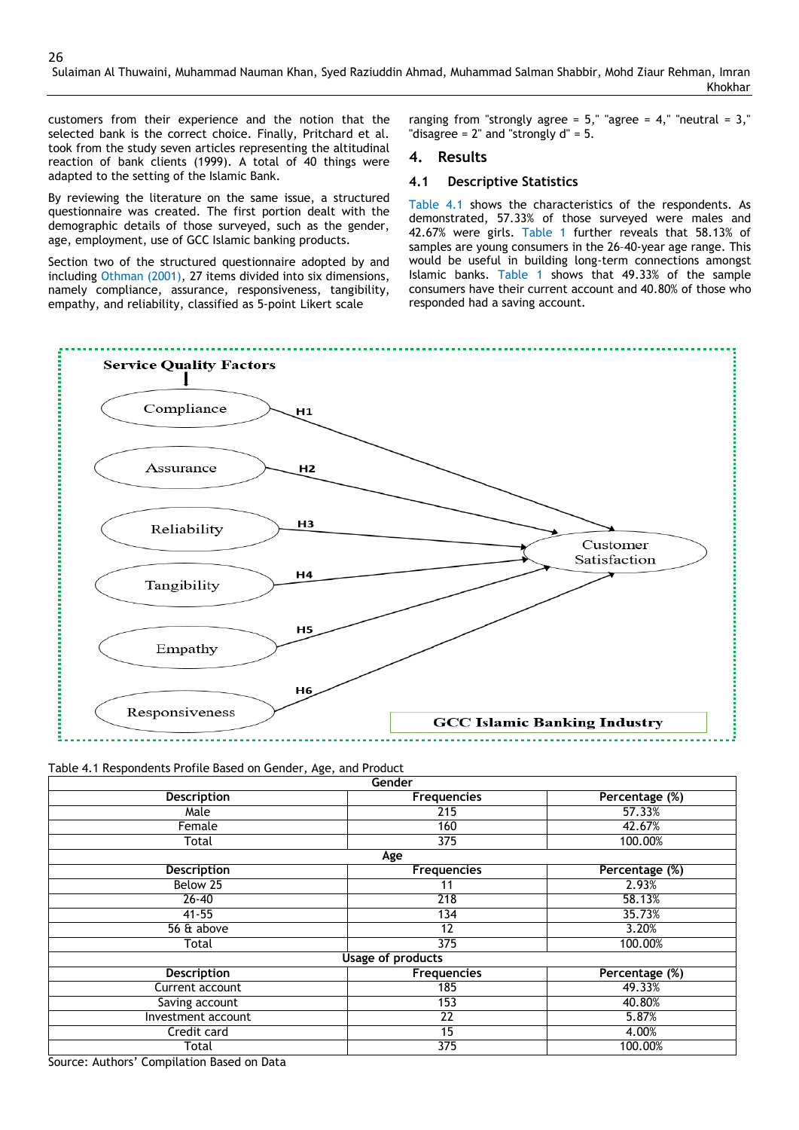customers from their experience and the notion that the selected bank is the correct choice. Finally, Pritchard et al. took from the study seven articles representing the altitudinal reaction of bank clients (1999). A total of 40 things were adapted to the setting of the Islamic Bank.

By reviewing the literature on the same issue, a structured questionnaire was created. The first portion dealt with the demographic details of those surveyed, such as the gender, age, employment, use of GCC Islamic banking products.

Section two of the structured questionnaire adopted by and including Othman (2001), 27 items divided into six dimensions, namely compliance, assurance, responsiveness, tangibility, empathy, and reliability, classified as 5-point Likert scale

ranging from "strongly agree =  $5$ ," "agree =  $4$ ," "neutral =  $3$ ," "disagree =  $2$ " and "strongly  $d$ " =  $5$ .

#### **4. Results**

#### **4.1 Descriptive Statistics**

Table 4.1 shows the characteristics of the respondents. As demonstrated, 57.33% of those surveyed were males and 42.67% were girls. Table 1 further reveals that 58.13% of samples are young consumers in the 26–40-year age range. This would be useful in building long-term connections amongst Islamic banks. Table 1 shows that 49.33% of the sample consumers have their current account and 40.80% of those who responded had a saving account.



Table 4.1 Respondents Profile Based on Gender, Age, and Product

|                    | Gender                   |                |
|--------------------|--------------------------|----------------|
| <b>Description</b> | <b>Frequencies</b>       | Percentage (%) |
| Male               | 215                      | 57.33%         |
| Female             | 160                      | 42.67%         |
| Total              | 375                      | 100.00%        |
|                    | Age                      |                |
| <b>Description</b> | <b>Frequencies</b>       | Percentage (%) |
| Below 25           | 11                       | 2.93%          |
| $26 - 40$          | 218                      | 58.13%         |
| $41 - 55$          | 134                      | 35.73%         |
| 56 & above         | 12                       | 3.20%          |
| Total              | 375                      | 100.00%        |
|                    | <b>Usage of products</b> |                |
| <b>Description</b> | <b>Frequencies</b>       | Percentage (%) |
| Current account    | 185                      | 49.33%         |
| Saving account     | 153                      | 40.80%         |
| Investment account | 22                       | 5.87%          |
| Credit card        | 15                       | 4.00%          |
| Total              | 375                      | 100.00%        |

Source: Authors' Compilation Based on Data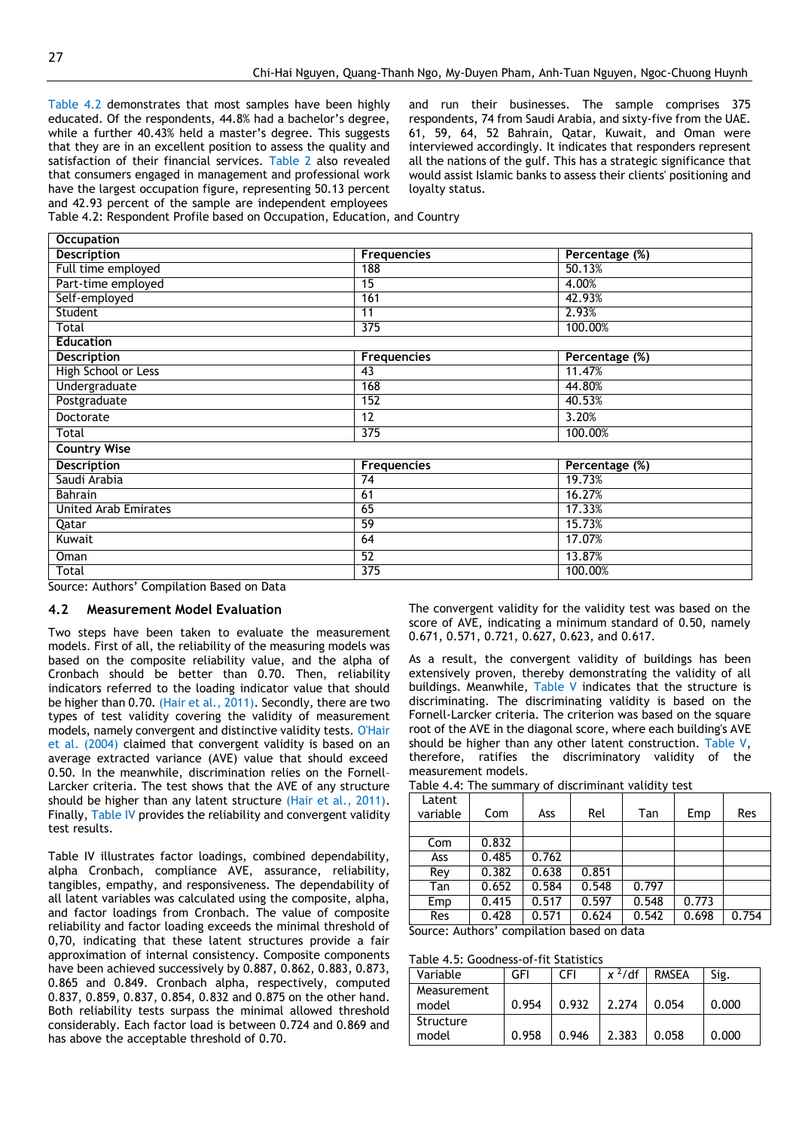Table 4.2 demonstrates that most samples have been highly educated. Of the respondents, 44.8% had a bachelor's degree, while a further 40.43% held a master's degree. This suggests that they are in an excellent position to assess the quality and satisfaction of their financial services. Table 2 also revealed that consumers engaged in management and professional work have the largest occupation figure, representing 50.13 percent and 42.93 percent of the sample are independent employees

and run their businesses. The sample comprises 375 respondents, 74 from Saudi Arabia, and sixty-five from the UAE. 61, 59, 64, 52 Bahrain, Qatar, Kuwait, and Oman were interviewed accordingly. It indicates that responders represent all the nations of the gulf. This has a strategic significance that would assist Islamic banks to assess their clients' positioning and loyalty status.

Table 4.2: Respondent Profile based on Occupation, Education, and Country

| <b>Occupation</b>           |                    |                |
|-----------------------------|--------------------|----------------|
| <b>Description</b>          | <b>Frequencies</b> | Percentage (%) |
| Full time employed          | 188                | 50.13%         |
| Part-time employed          | 15                 | 4.00%          |
| Self-employed               | 161                | 42.93%         |
| Student                     | 11                 | 2.93%          |
| Total                       | 375                | 100.00%        |
| <b>Education</b>            |                    |                |
| <b>Description</b>          | <b>Frequencies</b> | Percentage (%) |
| High School or Less         | 43                 | 11.47%         |
| Undergraduate               | 168                | 44.80%         |
| Postgraduate                | 152                | 40.53%         |
| Doctorate                   | 12                 | 3.20%          |
| Total                       | 375                | 100.00%        |
| <b>Country Wise</b>         |                    |                |
| <b>Description</b>          | <b>Frequencies</b> | Percentage (%) |
| Saudi Arabia                | 74                 | 19.73%         |
| <b>Bahrain</b>              | 61                 | 16.27%         |
| <b>United Arab Emirates</b> | 65                 | 17.33%         |
| Qatar                       | 59                 | 15.73%         |
| Kuwait                      | 64                 | 17.07%         |
| Oman                        | 52                 | 13.87%         |
| Total                       | 375                | 100.00%        |

Source: Authors' Compilation Based on Data

#### **4.2 Measurement Model Evaluation**

Two steps have been taken to evaluate the measurement models. First of all, the reliability of the measuring models was based on the composite reliability value, and the alpha of Cronbach should be better than 0.70. Then, reliability indicators referred to the loading indicator value that should be higher than 0.70. (Hair et al., 2011). Secondly, there are two types of test validity covering the validity of measurement models, namely convergent and distinctive validity tests. O'Hair et al. (2004) claimed that convergent validity is based on an average extracted variance (AVE) value that should exceed 0.50. In the meanwhile, discrimination relies on the Fornell– Larcker criteria. The test shows that the AVE of any structure should be higher than any latent structure (Hair et al., 2011). Finally, Table IV provides the reliability and convergent validity test results.

Table IV illustrates factor loadings, combined dependability, alpha Cronbach, compliance AVE, assurance, reliability, tangibles, empathy, and responsiveness. The dependability of all latent variables was calculated using the composite, alpha, and factor loadings from Cronbach. The value of composite reliability and factor loading exceeds the minimal threshold of 0,70, indicating that these latent structures provide a fair approximation of internal consistency. Composite components have been achieved successively by 0.887, 0.862, 0.883, 0.873, 0.865 and 0.849. Cronbach alpha, respectively, computed 0.837, 0.859, 0.837, 0.854, 0.832 and 0.875 on the other hand. Both reliability tests surpass the minimal allowed threshold considerably. Each factor load is between 0.724 and 0.869 and has above the acceptable threshold of 0.70.

The convergent validity for the validity test was based on the score of AVE, indicating a minimum standard of 0.50, namely 0.671, 0.571, 0.721, 0.627, 0.623, and 0.617.

As a result, the convergent validity of buildings has been extensively proven, thereby demonstrating the validity of all buildings. Meanwhile, Table V indicates that the structure is discriminating. The discriminating validity is based on the Fornell-Larcker criteria. The criterion was based on the square root of the AVE in the diagonal score, where each building's AVE should be higher than any other latent construction. Table V, therefore, ratifies the discriminatory validity of the measurement models.

| Table 4.4: The summary of discriminant validity test |  |  |
|------------------------------------------------------|--|--|
|------------------------------------------------------|--|--|

| Latent<br>variable                         | Com   | Ass   | Rel   | Tan   | Emp   | Res   |  |
|--------------------------------------------|-------|-------|-------|-------|-------|-------|--|
|                                            |       |       |       |       |       |       |  |
| Com                                        | 0.832 |       |       |       |       |       |  |
| Ass                                        | 0.485 | 0.762 |       |       |       |       |  |
| Rev                                        | 0.382 | 0.638 | 0.851 |       |       |       |  |
| Tan                                        | 0.652 | 0.584 | 0.548 | 0.797 |       |       |  |
| Emp                                        | 0.415 | 0.517 | 0.597 | 0.548 | 0.773 |       |  |
| <b>Res</b>                                 | 0.428 | 0.571 | 0.624 | 0.542 | 0.698 | 0.754 |  |
| Source: Authors' compilation based on data |       |       |       |       |       |       |  |

Source: Authors' compilation based on data

#### Table 4.5: Goodness-of-fit Statistics

| Variable             | GFI   | ΩFI   | $x^2/df$ | <b>RMSEA</b> | Sig.  |
|----------------------|-------|-------|----------|--------------|-------|
| Measurement<br>model | 0.954 | 0.932 | 2.274    | 0.054        | 0.000 |
| Structure<br>model   | 0.958 | 0.946 | 2.383    | 0.058        | 0.000 |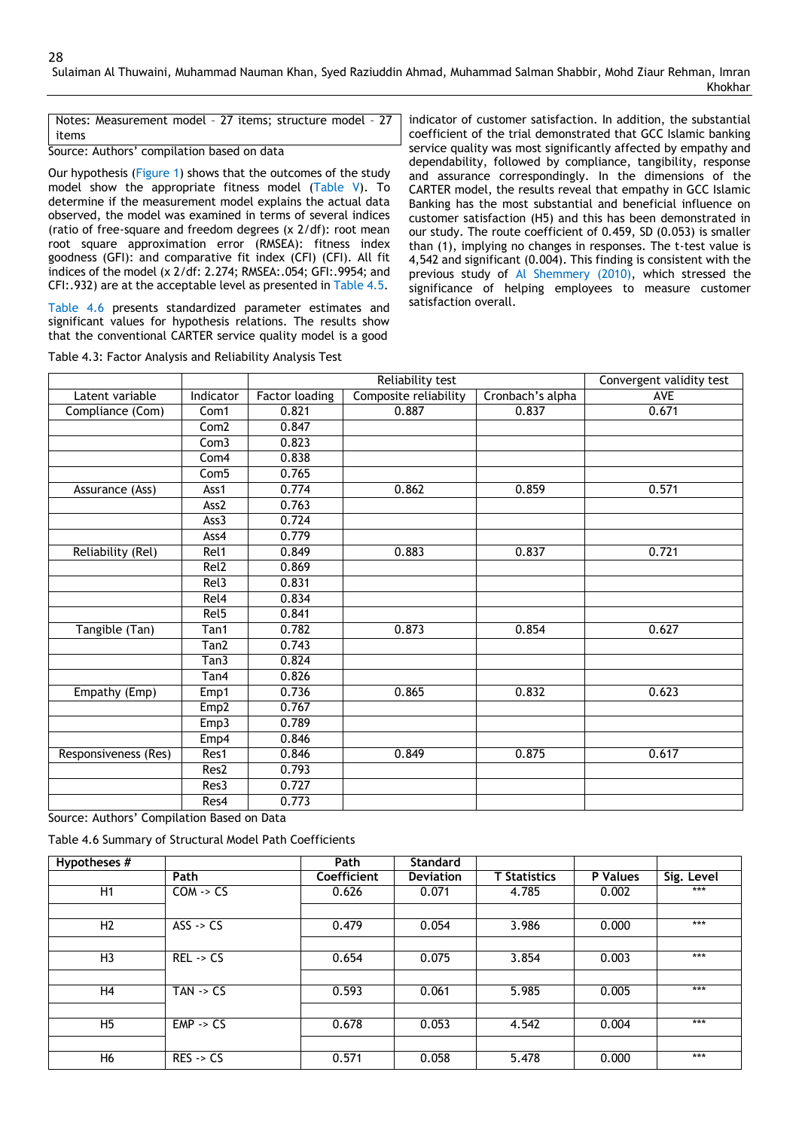Notes: Measurement model – 27 items; structure model – 27 items

Source: Authors' compilation based on data

Our hypothesis (Figure 1) shows that the outcomes of the study model show the appropriate fitness model (Table V). To determine if the measurement model explains the actual data observed, the model was examined in terms of several indices (ratio of free-square and freedom degrees (x 2/df): root mean root square approximation error (RMSEA): fitness index goodness (GFI): and comparative fit index (CFI) (CFI). All fit indices of the model (x 2/df: 2.274; RMSEA:.054; GFI:.9954; and CFI:.932) are at the acceptable level as presented in Table 4.5.

Table 4.6 presents standardized parameter estimates and significant values for hypothesis relations. The results show that the conventional CARTER service quality model is a good

indicator of customer satisfaction. In addition, the substantial coefficient of the trial demonstrated that GCC Islamic banking service quality was most significantly affected by empathy and dependability, followed by compliance, tangibility, response and assurance correspondingly. In the dimensions of the CARTER model, the results reveal that empathy in GCC Islamic Banking has the most substantial and beneficial influence on customer satisfaction (H5) and this has been demonstrated in our study. The route coefficient of 0.459, SD (0.053) is smaller than (1), implying no changes in responses. The t-test value is 4,542 and significant (0.004). This finding is consistent with the previous study of Al Shemmery (2010), which stressed the significance of helping employees to measure customer satisfaction overall.

|                                                        |                    | Reliability test      |                       |                  | Convergent validity test |
|--------------------------------------------------------|--------------------|-----------------------|-----------------------|------------------|--------------------------|
| Latent variable                                        | Indicator          | <b>Factor loading</b> | Composite reliability | Cronbach's alpha | <b>AVE</b>               |
| Compliance (Com)                                       | Com1               | 0.821                 | 0.887                 | 0.837            | 0.671                    |
|                                                        | Com2               | 0.847                 |                       |                  |                          |
|                                                        | Com3               | 0.823                 |                       |                  |                          |
|                                                        | Com4               | 0.838                 |                       |                  |                          |
|                                                        | Com <sub>5</sub>   | 0.765                 |                       |                  |                          |
| Assurance (Ass)                                        | Ass1               | 0.774                 | 0.862                 | 0.859            | 0.571                    |
|                                                        | Ass2               | 0.763                 |                       |                  |                          |
|                                                        | Ass3               | 0.724                 |                       |                  |                          |
|                                                        | Ass4               | 0.779                 |                       |                  |                          |
| Reliability (Rel)                                      | Rel1               | 0.849                 | 0.883                 | 0.837            | 0.721                    |
|                                                        | Rel2               | 0.869                 |                       |                  |                          |
|                                                        | Rel <sub>3</sub>   | 0.831                 |                       |                  |                          |
|                                                        | Rel <sub>4</sub>   | 0.834                 |                       |                  |                          |
|                                                        | Rel <sub>5</sub>   | 0.841                 |                       |                  |                          |
| Tangible (Tan)                                         | $\overline{T}$ an1 | 0.782                 | 0.873                 | 0.854            | 0.627                    |
|                                                        | Tan2               | 0.743                 |                       |                  |                          |
|                                                        | Tan3               | 0.824                 |                       |                  |                          |
|                                                        | Tan4               | 0.826                 |                       |                  |                          |
| Empathy (Emp)                                          | Emp1               | 0.736                 | 0.865                 | 0.832            | 0.623                    |
|                                                        | Emp <sub>2</sub>   | 0.767                 |                       |                  |                          |
|                                                        | Emp3               | 0.789                 |                       |                  |                          |
|                                                        | Emp4               | 0.846                 |                       |                  |                          |
| Responsiveness (Res)                                   | Res1               | 0.846                 | 0.849                 | 0.875            | 0.617                    |
|                                                        | Res <sub>2</sub>   | 0.793                 |                       |                  |                          |
|                                                        | Res3               | 0.727                 |                       |                  |                          |
|                                                        | Res4               | 0.773                 |                       |                  |                          |
| $\epsilon$ and $\epsilon$ in $\epsilon$ and $\epsilon$ |                    |                       |                       |                  |                          |

Table 4.3: Factor Analysis and Reliability Analysis Test

Source: Authors' Compilation Based on Data

Table 4.6 Summary of Structural Model Path Coefficients

| Hypotheses #   |                      | Path        | <b>Standard</b>  |                     |          |            |
|----------------|----------------------|-------------|------------------|---------------------|----------|------------|
|                | Path                 | Coefficient | <b>Deviation</b> | <b>T</b> Statistics | P Values | Sig. Level |
| H1             | $COM \rightarrow CS$ | 0.626       | 0.071            | 4.785               | 0.002    | ***        |
|                |                      |             |                  |                     |          |            |
| H <sub>2</sub> | $ASS \rightarrow CS$ | 0.479       | 0.054            | 3.986               | 0.000    | ***        |
|                |                      |             |                  |                     |          |            |
| H <sub>3</sub> | $REL \rightarrow CS$ | 0.654       | 0.075            | 3.854               | 0.003    | ***        |
|                |                      |             |                  |                     |          |            |
| H4             | $TAN \rightarrow CS$ | 0.593       | 0.061            | 5.985               | 0.005    | ***        |
|                |                      |             |                  |                     |          |            |
| H <sub>5</sub> | $EMP \rightarrow CS$ | 0.678       | 0.053            | 4.542               | 0.004    | ***        |
|                |                      |             |                  |                     |          |            |
| H <sub>6</sub> | $RES \rightarrow CS$ | 0.571       | 0.058            | 5.478               | 0.000    | ***        |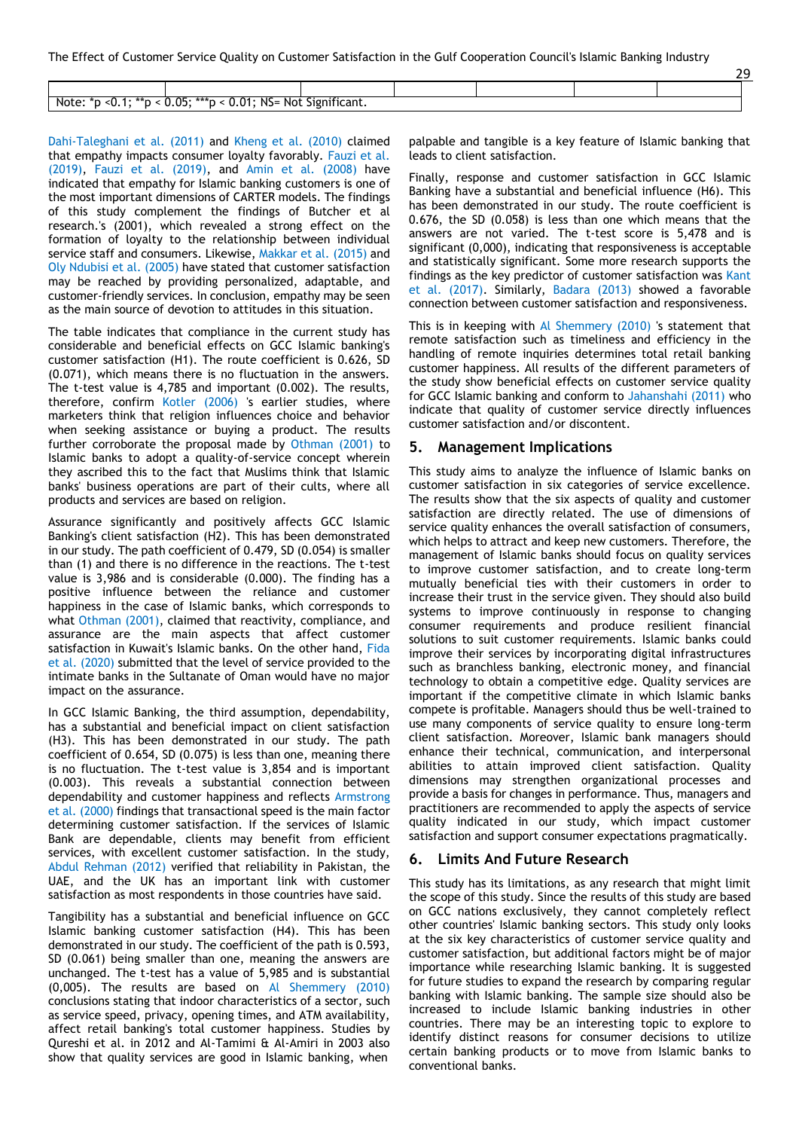|                                                                        |                                       |  | -- |  |
|------------------------------------------------------------------------|---------------------------------------|--|----|--|
|                                                                        |                                       |  |    |  |
|                                                                        |                                       |  |    |  |
|                                                                        |                                       |  |    |  |
| N <sup>C</sup><br>⊐ר<br>$***$ .<br>Note<br>Not<br>NU.<br>--<br><br>. . | --<br>----<br>וחסור $\cdot$<br>:יוכan |  |    |  |

Dahi-Taleghani et al. (2011) and Kheng et al. (2010) claimed that empathy impacts consumer loyalty favorably. Fauzi et al. (2019), Fauzi et al. (2019), and Amin et al. (2008) have indicated that empathy for Islamic banking customers is one of the most important dimensions of CARTER models. The findings of this study complement the findings of Butcher et al research.'s (2001), which revealed a strong effect on the formation of loyalty to the relationship between individual service staff and consumers. Likewise, Makkar et al. (2015) and Oly Ndubisi et al. (2005) have stated that customer satisfaction may be reached by providing personalized, adaptable, and customer-friendly services. In conclusion, empathy may be seen as the main source of devotion to attitudes in this situation.

The table indicates that compliance in the current study has considerable and beneficial effects on GCC Islamic banking's customer satisfaction (H1). The route coefficient is 0.626, SD (0.071), which means there is no fluctuation in the answers. The t-test value is 4,785 and important (0.002). The results, therefore, confirm Kotler (2006) 's earlier studies, where marketers think that religion influences choice and behavior when seeking assistance or buying a product. The results further corroborate the proposal made by Othman (2001) to Islamic banks to adopt a quality-of-service concept wherein they ascribed this to the fact that Muslims think that Islamic banks' business operations are part of their cults, where all products and services are based on religion.

Assurance significantly and positively affects GCC Islamic Banking's client satisfaction (H2). This has been demonstrated in our study. The path coefficient of 0.479, SD (0.054) is smaller than (1) and there is no difference in the reactions. The t-test value is 3,986 and is considerable (0.000). The finding has a positive influence between the reliance and customer happiness in the case of Islamic banks, which corresponds to what Othman (2001), claimed that reactivity, compliance, and assurance are the main aspects that affect customer satisfaction in Kuwait's Islamic banks. On the other hand, Fida et al. (2020) submitted that the level of service provided to the intimate banks in the Sultanate of Oman would have no major impact on the assurance.

In GCC Islamic Banking, the third assumption, dependability, has a substantial and beneficial impact on client satisfaction (H3). This has been demonstrated in our study. The path coefficient of 0.654, SD (0.075) is less than one, meaning there is no fluctuation. The t-test value is 3,854 and is important (0.003). This reveals a substantial connection between dependability and customer happiness and reflects Armstrong et al. (2000) findings that transactional speed is the main factor determining customer satisfaction. If the services of Islamic Bank are dependable, clients may benefit from efficient services, with excellent customer satisfaction. In the study, Abdul Rehman (2012) verified that reliability in Pakistan, the UAE, and the UK has an important link with customer satisfaction as most respondents in those countries have said.

Tangibility has a substantial and beneficial influence on GCC Islamic banking customer satisfaction (H4). This has been demonstrated in our study. The coefficient of the path is 0.593, SD (0.061) being smaller than one, meaning the answers are unchanged. The t-test has a value of 5,985 and is substantial (0,005). The results are based on Al Shemmery (2010) conclusions stating that indoor characteristics of a sector, such as service speed, privacy, opening times, and ATM availability, affect retail banking's total customer happiness. Studies by Qureshi et al. in 2012 and Al-Tamimi & Al-Amiri in 2003 also show that quality services are good in Islamic banking, when

palpable and tangible is a key feature of Islamic banking that leads to client satisfaction.

 $20$ 

Finally, response and customer satisfaction in GCC Islamic Banking have a substantial and beneficial influence (H6). This has been demonstrated in our study. The route coefficient is 0.676, the SD (0.058) is less than one which means that the answers are not varied. The t-test score is 5,478 and is significant (0,000), indicating that responsiveness is acceptable and statistically significant. Some more research supports the findings as the key predictor of customer satisfaction was Kant et al. (2017). Similarly, Badara (2013) showed a favorable connection between customer satisfaction and responsiveness.

This is in keeping with Al Shemmery (2010) 's statement that remote satisfaction such as timeliness and efficiency in the handling of remote inquiries determines total retail banking customer happiness. All results of the different parameters of the study show beneficial effects on customer service quality for GCC Islamic banking and conform to Jahanshahi (2011) who indicate that quality of customer service directly influences customer satisfaction and/or discontent.

#### **5. Management Implications**

This study aims to analyze the influence of Islamic banks on customer satisfaction in six categories of service excellence. The results show that the six aspects of quality and customer satisfaction are directly related. The use of dimensions of service quality enhances the overall satisfaction of consumers, which helps to attract and keep new customers. Therefore, the management of Islamic banks should focus on quality services to improve customer satisfaction, and to create long-term mutually beneficial ties with their customers in order to increase their trust in the service given. They should also build systems to improve continuously in response to changing consumer requirements and produce resilient financial solutions to suit customer requirements. Islamic banks could improve their services by incorporating digital infrastructures such as branchless banking, electronic money, and financial technology to obtain a competitive edge. Quality services are important if the competitive climate in which Islamic banks compete is profitable. Managers should thus be well-trained to use many components of service quality to ensure long-term client satisfaction. Moreover, Islamic bank managers should enhance their technical, communication, and interpersonal abilities to attain improved client satisfaction. Quality dimensions may strengthen organizational processes and provide a basis for changes in performance. Thus, managers and practitioners are recommended to apply the aspects of service quality indicated in our study, which impact customer satisfaction and support consumer expectations pragmatically.

#### **6. Limits And Future Research**

This study has its limitations, as any research that might limit the scope of this study. Since the results of this study are based on GCC nations exclusively, they cannot completely reflect other countries' Islamic banking sectors. This study only looks at the six key characteristics of customer service quality and customer satisfaction, but additional factors might be of major importance while researching Islamic banking. It is suggested for future studies to expand the research by comparing regular banking with Islamic banking. The sample size should also be increased to include Islamic banking industries in other countries. There may be an interesting topic to explore to identify distinct reasons for consumer decisions to utilize certain banking products or to move from Islamic banks to conventional banks.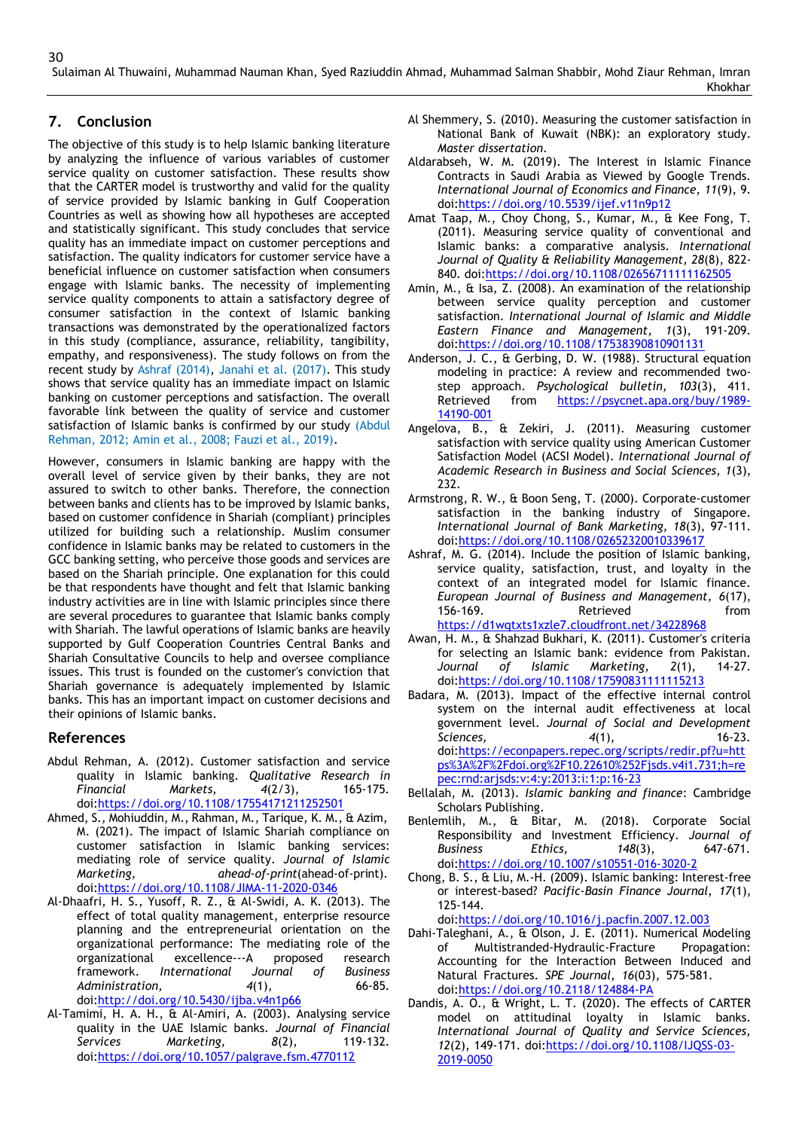# **7. Conclusion**

The objective of this study is to help Islamic banking literature by analyzing the influence of various variables of customer service quality on customer satisfaction. These results show that the CARTER model is trustworthy and valid for the quality of service provided by Islamic banking in Gulf Cooperation Countries as well as showing how all hypotheses are accepted and statistically significant. This study concludes that service quality has an immediate impact on customer perceptions and satisfaction. The quality indicators for customer service have a beneficial influence on customer satisfaction when consumers engage with Islamic banks. The necessity of implementing service quality components to attain a satisfactory degree of consumer satisfaction in the context of Islamic banking transactions was demonstrated by the operationalized factors in this study (compliance, assurance, reliability, tangibility, empathy, and responsiveness). The study follows on from the recent study by Ashraf (2014), Janahi et al. (2017). This study shows that service quality has an immediate impact on Islamic banking on customer perceptions and satisfaction. The overall favorable link between the quality of service and customer satisfaction of Islamic banks is confirmed by our study (Abdul Rehman, 2012; Amin et al., 2008; Fauzi et al., 2019).

However, consumers in Islamic banking are happy with the overall level of service given by their banks, they are not assured to switch to other banks. Therefore, the connection between banks and clients has to be improved by Islamic banks, based on customer confidence in Shariah (compliant) principles utilized for building such a relationship. Muslim consumer confidence in Islamic banks may be related to customers in the GCC banking setting, who perceive those goods and services are based on the Shariah principle. One explanation for this could be that respondents have thought and felt that Islamic banking industry activities are in line with Islamic principles since there are several procedures to guarantee that Islamic banks comply with Shariah. The lawful operations of Islamic banks are heavily supported by Gulf Cooperation Countries Central Banks and Shariah Consultative Councils to help and oversee compliance issues. This trust is founded on the customer's conviction that Shariah governance is adequately implemented by Islamic banks. This has an important impact on customer decisions and their opinions of Islamic banks.

### **References**

- Abdul Rehman, A. (2012). Customer satisfaction and service quality in Islamic banking. *Qualitative Research in Financial Markets, 4*(2/3), 165-175. doi[:https://doi.org/10.1108/17554171211252501](https://doi.org/10.1108/17554171211252501)
- Ahmed, S., Mohiuddin, M., Rahman, M., Tarique, K. M., & Azim, M. (2021). The impact of Islamic Shariah compliance on customer satisfaction in Islamic banking services: mediating role of service quality. *Journal of Islamic Marketing, ahead-of-print*(ahead-of-print). doi[:https://doi.org/10.1108/JIMA-11-2020-0346](https://doi.org/10.1108/JIMA-11-2020-0346)
- Al-Dhaafri, H. S., Yusoff, R. Z., & Al-Swidi, A. K. (2013). The effect of total quality management, enterprise resource planning and the entrepreneurial orientation on the organizational performance: The mediating role of the organizational excellence---A proposed research framework. *International Journal of Business Administration, 4*(1), 66-85. doi[:http://doi.org/10.5430/ijba.v4n1p66](http://doi.org/10.5430/ijba.v4n1p66)
- Al-Tamimi, H. A. H., & Al-Amiri, A. (2003). Analysing service quality in the UAE Islamic banks. *Journal of Financial Services Marketing, 8*(2), 119-132. doi[:https://doi.org/10.1057/palgrave.fsm.4770112](https://doi.org/10.1057/palgrave.fsm.4770112)
- Al Shemmery, S. (2010). Measuring the customer satisfaction in National Bank of Kuwait (NBK): an exploratory study. *Master dissertation*.
- Aldarabseh, W. M. (2019). The Interest in Islamic Finance Contracts in Saudi Arabia as Viewed by Google Trends. *International Journal of Economics and Finance, 11*(9), 9. doi[:https://doi.org/10.5539/ijef.v11n9p12](https://doi.org/10.5539/ijef.v11n9p12)
- Amat Taap, M., Choy Chong, S., Kumar, M., & Kee Fong, T. (2011). Measuring service quality of conventional and Islamic banks: a comparative analysis. *International Journal of Quality & Reliability Management, 28*(8), 822- 840. doi[:https://doi.org/10.1108/02656711111162505](https://doi.org/10.1108/02656711111162505)
- Amin, M., & Isa, Z. (2008). An examination of the relationship between service quality perception and customer satisfaction. *International Journal of Islamic and Middle Eastern Finance and Management, 1*(3), 191-209. doi[:https://doi.org/10.1108/17538390810901131](https://doi.org/10.1108/17538390810901131)
- Anderson, J. C., & Gerbing, D. W. (1988). Structural equation modeling in practice: A review and recommended twostep approach. *Psychological bulletin, 103*(3), 411. Retrieved from [https://psycnet.apa.org/buy/1989-](https://psycnet.apa.org/buy/1989-14190-001) [14190-001](https://psycnet.apa.org/buy/1989-14190-001)
- Angelova, B., & Zekiri, J. (2011). Measuring customer satisfaction with service quality using American Customer Satisfaction Model (ACSI Model). *International Journal of Academic Research in Business and Social Sciences, 1*(3), 232.
- Armstrong, R. W., & Boon Seng, T. (2000). Corporate‐customer satisfaction in the banking industry of Singapore. *International Journal of Bank Marketing, 18*(3), 97-111. doi[:https://doi.org/10.1108/02652320010339617](https://doi.org/10.1108/02652320010339617)
- Ashraf, M. G. (2014). Include the position of Islamic banking, service quality, satisfaction, trust, and loyalty in the context of an integrated model for Islamic finance. *European Journal of Business and Management, 6*(17), Retrieved <https://d1wqtxts1xzle7.cloudfront.net/34228968>
- Awan, H. M., & Shahzad Bukhari, K. (2011). Customer's criteria for selecting an Islamic bank: evidence from Pakistan. *Journal of Islamic Marketing, 2*(1), 14-27. doi[:https://doi.org/10.1108/17590831111115213](https://doi.org/10.1108/17590831111115213)
- Badara, M. (2013). Impact of the effective internal control system on the internal audit effectiveness at local government level. *Journal of Social and Development Sciences, 4*(1), 16-23. doi[:https://econpapers.repec.org/scripts/redir.pf?u=htt](https://econpapers.repec.org/scripts/redir.pf?u=https%3A%2F%2Fdoi.org%2F10.22610%252Fjsds.v4i1.731%3Bh%3Drepec%3Arnd%3Aarjsds%3Av%3A4%3Ay%3A2013%3Ai%3A1%3Ap%3A16-23) [ps%3A%2F%2Fdoi.org%2F10.22610%252Fjsds.v4i1.731;h=re](https://econpapers.repec.org/scripts/redir.pf?u=https%3A%2F%2Fdoi.org%2F10.22610%252Fjsds.v4i1.731%3Bh%3Drepec%3Arnd%3Aarjsds%3Av%3A4%3Ay%3A2013%3Ai%3A1%3Ap%3A16-23) [pec:rnd:arjsds:v:4:y:2013:i:1:p:16-23](https://econpapers.repec.org/scripts/redir.pf?u=https%3A%2F%2Fdoi.org%2F10.22610%252Fjsds.v4i1.731%3Bh%3Drepec%3Arnd%3Aarjsds%3Av%3A4%3Ay%3A2013%3Ai%3A1%3Ap%3A16-23)
- Bellalah, M. (2013). *Islamic banking and finance*: Cambridge Scholars Publishing.
- Benlemlih, M., & Bitar, M. (2018). Corporate Social Responsibility and Investment Efficiency. *Journal of Business Ethics, 148*(3), 647-671. doi[:https://doi.org/10.1007/s10551-016-3020-2](https://doi.org/10.1007/s10551-016-3020-2)
- Chong, B. S., & Liu, M.-H. (2009). Islamic banking: Interest-free or interest-based? *Pacific-Basin Finance Journal, 17*(1), 125-144. doi[:https://doi.org/10.1016/j.pacfin.2007.12.003](https://doi.org/10.1016/j.pacfin.2007.12.003)
- Dahi-Taleghani, A., & Olson, J. E. (2011). Numerical Modeling of Multistranded-Hydraulic-Fracture Propagation: Accounting for the Interaction Between Induced and Natural Fractures. *SPE Journal, 16*(03), 575-581. doi[:https://doi.org/10.2118/124884-PA](https://doi.org/10.2118/124884-PA)
- Dandis, A. O., & Wright, L. T. (2020). The effects of CARTER model on attitudinal loyalty in Islamic banks. *International Journal of Quality and Service Sciences, 12*(2), 149-171. doi[:https://doi.org/10.1108/IJQSS-03-](https://doi.org/10.1108/IJQSS-03-2019-0050) [2019-0050](https://doi.org/10.1108/IJQSS-03-2019-0050)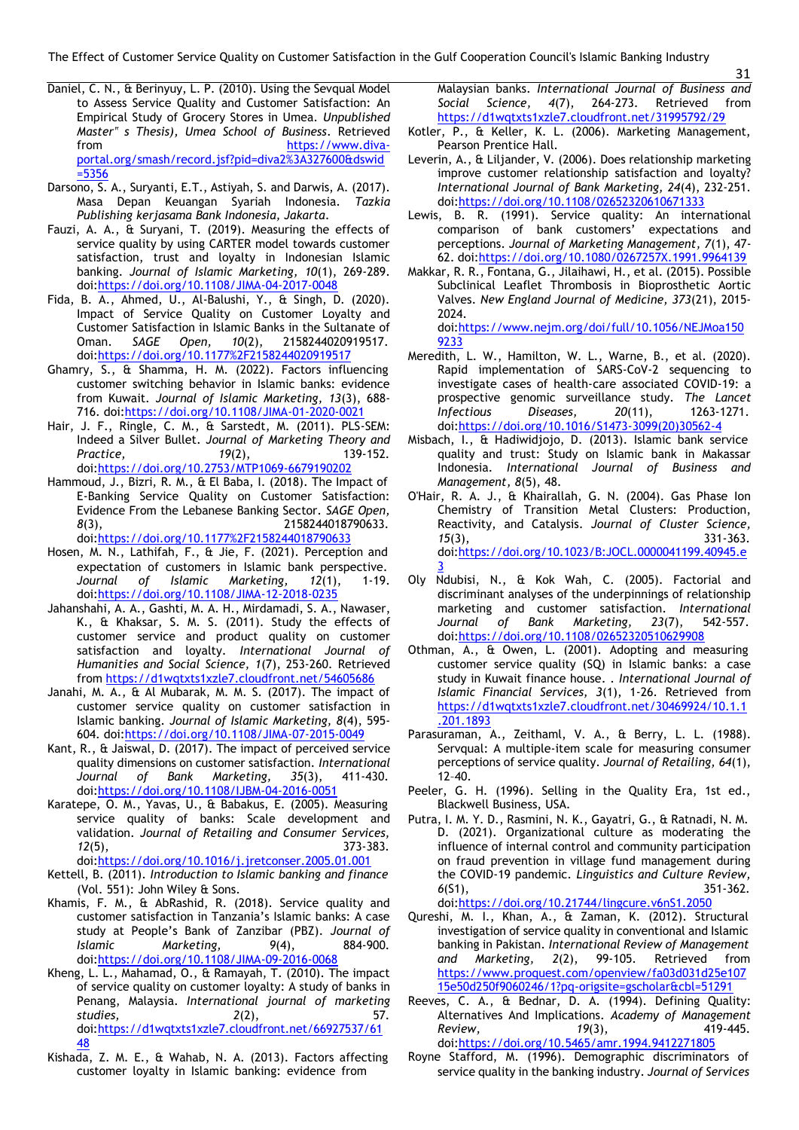The Effect of Customer Service Quality on Customer Satisfaction in the Gulf Cooperation Council's Islamic Banking Industry

- Daniel, C. N., & Berinyuy, L. P. (2010). Using the Sevqual Model to Assess Service Quality and Customer Satisfaction: An Empirical Study of Grocery Stores in Umea. *Unpublished Master" s Thesis), Umea School of Business*. Retrieved [https://www.diva](https://www.diva-portal.org/smash/record.jsf?pid=diva2%3A327600&dswid=5356)[portal.org/smash/record.jsf?pid=diva2%3A327600&dswid](https://www.diva-portal.org/smash/record.jsf?pid=diva2%3A327600&dswid=5356) [=5356](https://www.diva-portal.org/smash/record.jsf?pid=diva2%3A327600&dswid=5356)
- Darsono, S. A., Suryanti, E.T., Astiyah, S. and Darwis, A. (2017). Masa Depan Keuangan Syariah Indonesia. *Tazkia Publishing kerjasama Bank Indonesia, Jakarta*.
- Fauzi, A. A., & Suryani, T. (2019). Measuring the effects of service quality by using CARTER model towards customer satisfaction, trust and loyalty in Indonesian Islamic banking. *Journal of Islamic Marketing, 10*(1), 269-289. doi[:https://doi.org/10.1108/JIMA-04-2017-0048](https://doi.org/10.1108/JIMA-04-2017-0048)
- Fida, B. A., Ahmed, U., Al-Balushi, Y., & Singh, D. (2020). Impact of Service Quality on Customer Loyalty and Customer Satisfaction in Islamic Banks in the Sultanate of Oman. *SAGE Open, 10*(2), 2158244020919517. doi[:https://doi.org/10.1177%2F2158244020919517](https://doi.org/10.1177%2F2158244020919517)
- Ghamry, S., & Shamma, H. M. (2022). Factors influencing customer switching behavior in Islamic banks: evidence from Kuwait. *Journal of Islamic Marketing, 13*(3), 688- 716. doi[:https://doi.org/10.1108/JIMA-01-2020-0021](https://doi.org/10.1108/JIMA-01-2020-0021)
- Hair, J. F., Ringle, C. M., & Sarstedt, M. (2011). PLS-SEM: Indeed a Silver Bullet. *Journal of Marketing Theory and Practice, 19*(2), 139-152. doi[:https://doi.org/10.2753/MTP1069-6679190202](https://doi.org/10.2753/MTP1069-6679190202)
- Hammoud, J., Bizri, R. M., & El Baba, I. (2018). The Impact of E-Banking Service Quality on Customer Satisfaction: Evidence From the Lebanese Banking Sector. *SAGE Open, 8*(3), 2158244018790633. doi[:https://doi.org/10.1177%2F2158244018790633](https://doi.org/10.1177%2F2158244018790633)
- Hosen, M. N., Lathifah, F., & Jie, F. (2021). Perception and expectation of customers in Islamic bank perspective.<br>Journal of Islamic Marketing, 12(1), 1-19. *of Islamic Marketing*, 12(1), doi[:https://doi.org/10.1108/JIMA-12-2018-0235](https://doi.org/10.1108/JIMA-12-2018-0235)
- Jahanshahi, A. A., Gashti, M. A. H., Mirdamadi, S. A., Nawaser, K., & Khaksar, S. M. S. (2011). Study the effects of customer service and product quality on customer satisfaction and loyalty. *International Journal of Humanities and Social Science, 1*(7), 253-260. Retrieved from <https://d1wqtxts1xzle7.cloudfront.net/54605686>
- Janahi, M. A., & Al Mubarak, M. M. S. (2017). The impact of customer service quality on customer satisfaction in Islamic banking. *Journal of Islamic Marketing, 8*(4), 595- 604. doi[:https://doi.org/10.1108/JIMA-07-2015-0049](https://doi.org/10.1108/JIMA-07-2015-0049)
- Kant, R., & Jaiswal, D. (2017). The impact of perceived service quality dimensions on customer satisfaction. *International Journal of Bank Marketing, 35*(3), 411-430. doi[:https://doi.org/10.1108/IJBM-04-2016-0051](https://doi.org/10.1108/IJBM-04-2016-0051)
- Karatepe, O. M., Yavas, U., & Babakus, E. (2005). Measuring service quality of banks: Scale development and validation. *Journal of Retailing and Consumer Services, 12*(5), 373-383. doi[:https://doi.org/10.1016/j.jretconser.2005.01.001](https://doi.org/10.1016/j.jretconser.2005.01.001)
- Kettell, B. (2011). *Introduction to Islamic banking and finance* (Vol. 551): John Wiley & Sons.
- Khamis, F. M., & AbRashid, R. (2018). Service quality and customer satisfaction in Tanzania's Islamic banks: A case study at People's Bank of Zanzibar (PBZ). *Journal of Islamic Marketing, 9*(4), 884-900. doi[:https://doi.org/10.1108/JIMA-09-2016-0068](https://doi.org/10.1108/JIMA-09-2016-0068)
- Kheng, L. L., Mahamad, O., & Ramayah, T. (2010). The impact of service quality on customer loyalty: A study of banks in Penang, Malaysia. *International journal of marketing studies, 2*(2), 57. doi[:https://d1wqtxts1xzle7.cloudfront.net/66927537/61](https://d1wqtxts1xzle7.cloudfront.net/66927537/6148) [48](https://d1wqtxts1xzle7.cloudfront.net/66927537/6148)
- Kishada, Z. M. E., & Wahab, N. A. (2013). Factors affecting customer loyalty in Islamic banking: evidence from

Malaysian banks. *International Journal of Business and Social Science, 4*(7), 264-273. Retrieved from <https://d1wqtxts1xzle7.cloudfront.net/31995792/29>

- Kotler, P., & Keller, K. L. (2006). Marketing Management, Pearson Prentice Hall.
- Leverin, A., & Liljander, V. (2006). Does relationship marketing improve customer relationship satisfaction and loyalty? *International Journal of Bank Marketing, 24*(4), 232-251. doi[:https://doi.org/10.1108/02652320610671333](https://doi.org/10.1108/02652320610671333)
- Lewis, B. R. (1991). Service quality: An international comparison of bank customers' expectations and perceptions. *Journal of Marketing Management, 7*(1), 47- 62. doi[:https://doi.org/10.1080/0267257X.1991.9964139](https://doi.org/10.1080/0267257X.1991.9964139)
- Makkar, R. R., Fontana, G., Jilaihawi, H., et al. (2015). Possible Subclinical Leaflet Thrombosis in Bioprosthetic Aortic Valves. *New England Journal of Medicine, 373*(21), 2015- 2024.

doi[:https://www.nejm.org/doi/full/10.1056/NEJMoa150](https://www.nejm.org/doi/full/10.1056/NEJMoa1509233) [9233](https://www.nejm.org/doi/full/10.1056/NEJMoa1509233)

- Meredith, L. W., Hamilton, W. L., Warne, B., et al. (2020). Rapid implementation of SARS-CoV-2 sequencing to investigate cases of health-care associated COVID-19: a prospective genomic surveillance study. *The Lancet Infectious Diseases, 20*(11), 1263-1271. doi[:https://doi.org/10.1016/S1473-3099\(20\)30562-4](https://doi.org/10.1016/S1473-3099(20)30562-4)
- Misbach, I., & Hadiwidjojo, D. (2013). Islamic bank service quality and trust: Study on Islamic bank in Makassar Indonesia. *International Journal of Business and Management, 8*(5), 48.
- O'Hair, R. A. J., & Khairallah, G. N. (2004). Gas Phase Ion Chemistry of Transition Metal Clusters: Production, Reactivity, and Catalysis. *Journal of Cluster Science, 15*(3), 331-363. doi:https://doi.org/10.1023/B:JOCL.0000041199.40945.e 3
- Oly Ndubisi, N., & Kok Wah, C. (2005). Factorial and discriminant analyses of the underpinnings of relationship marketing and customer satisfaction. *International Journal of Bank Marketing, 23*(7), 542-557. doi[:https://doi.org/10.1108/02652320510629908](https://doi.org/10.1108/02652320510629908)
- Othman, A., & Owen, L. (2001). Adopting and measuring customer service quality (SQ) in Islamic banks: a case study in Kuwait finance house. *. International Journal of Islamic Financial Services, 3*(1), 1-26. Retrieved from [https://d1wqtxts1xzle7.cloudfront.net/30469924/10.1.1](https://d1wqtxts1xzle7.cloudfront.net/30469924/10.1.1.201.1893) [.201.1893](https://d1wqtxts1xzle7.cloudfront.net/30469924/10.1.1.201.1893)
- Parasuraman, A., Zeithaml, V. A., & Berry, L. L. (1988). Servqual: A multiple-item scale for measuring consumer perceptions of service quality. *Journal of Retailing, 64*(1), 12–40.
- Peeler, G. H. (1996). Selling in the Quality Era, 1st ed., Blackwell Business, USA.
- Putra, I. M. Y. D., Rasmini, N. K., Gayatri, G., & Ratnadi, N. M. D. (2021). Organizational culture as moderating the influence of internal control and community participation on fraud prevention in village fund management during the COVID-19 pandemic. *Linguistics and Culture Review, 6*(S1), 351-362. doi[:https://doi.org/10.21744/lingcure.v6nS1.2050](https://doi.org/10.21744/lingcure.v6nS1.2050)

Qureshi, M. I., Khan, A., & Zaman, K. (2012). Structural investigation of service quality in conventional and Islamic banking in Pakistan. *International Review of Management and Marketing, 2*(2), 99-105. Retrieved from [https://www.proquest.com/openview/fa03d031d25e107](https://www.proquest.com/openview/fa03d031d25e10715e50d250f9060246/1?pq-origsite=gscholar&cbl=51291) [15e50d250f9060246/1?pq-origsite=gscholar&cbl=51291](https://www.proquest.com/openview/fa03d031d25e10715e50d250f9060246/1?pq-origsite=gscholar&cbl=51291)

- Reeves, C. A., & Bednar, D. A. (1994). Defining Quality: Alternatives And Implications. *Academy of Management Review, 19*(3), 419-445. doi[:https://doi.org/10.5465/amr.1994.9412271805](https://doi.org/10.5465/amr.1994.9412271805)
- Royne Stafford, M. (1996). Demographic discriminators of service quality in the banking industry. *Journal of Services*